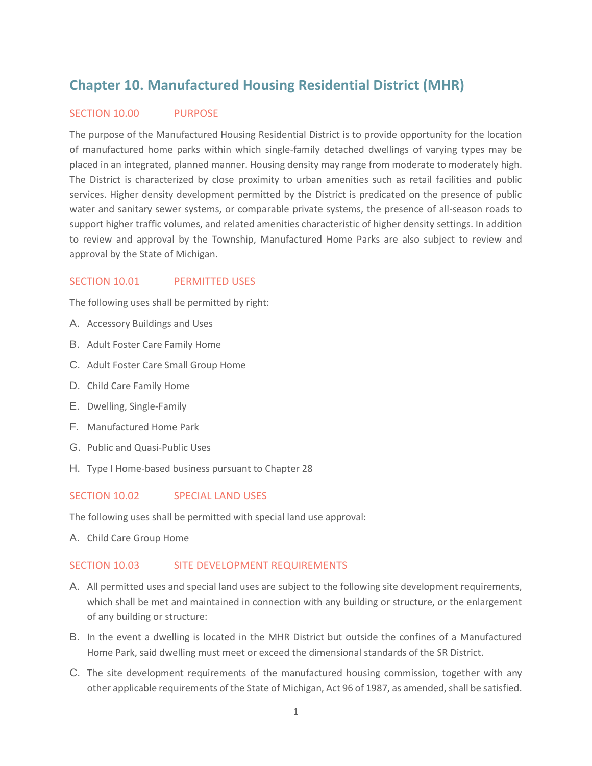# **Chapter 10. Manufactured Housing Residential District (MHR)**

## SECTION 10.00 PURPOSE

The purpose of the Manufactured Housing Residential District is to provide opportunity for the location of manufactured home parks within which single-family detached dwellings of varying types may be placed in an integrated, planned manner. Housing density may range from moderate to moderately high. The District is characterized by close proximity to urban amenities such as retail facilities and public services. Higher density development permitted by the District is predicated on the presence of public water and sanitary sewer systems, or comparable private systems, the presence of all-season roads to support higher traffic volumes, and related amenities characteristic of higher density settings. In addition to review and approval by the Township, Manufactured Home Parks are also subject to review and approval by the State of Michigan.

## SECTION 10.01 PERMITTED USES

The following uses shall be permitted by right:

- A. Accessory Buildings and Uses
- B. Adult Foster Care Family Home
- C. Adult Foster Care Small Group Home
- D. Child Care Family Home
- E. Dwelling, Single-Family
- F. Manufactured Home Park
- G. Public and Quasi-Public Uses
- H. Type I Home-based business pursuant to Chapter 28

### SECTION 10.02 SPECIAL LAND USES

The following uses shall be permitted with special land use approval:

A. Child Care Group Home

### SECTION 10.03 SITE DEVELOPMENT REQUIREMENTS

- A. All permitted uses and special land uses are subject to the following site development requirements, which shall be met and maintained in connection with any building or structure, or the enlargement of any building or structure:
- B. In the event a dwelling is located in the MHR District but outside the confines of a Manufactured Home Park, said dwelling must meet or exceed the dimensional standards of the SR District.
- C. The site development requirements of the manufactured housing commission, together with any other applicable requirements of the State of Michigan, Act 96 of 1987, as amended, shall be satisfied.